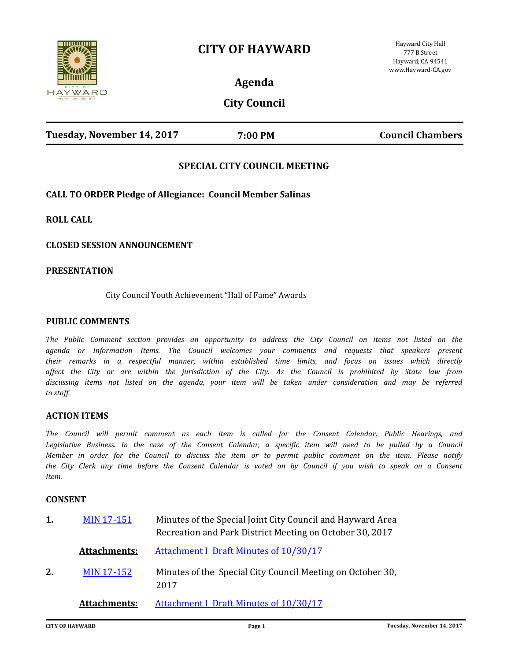# **CITY OF HAYWARD**



**Agenda**

**City Council**

| Tuesday, November 14, 2017 | 7:00 PM | <b>Council Chambers</b> |
|----------------------------|---------|-------------------------|
|                            |         |                         |

## **SPECIAL CITY COUNCIL MEETING**

**CALL TO ORDER Pledge of Allegiance: Council Member Salinas**

**ROLL CALL**

**CLOSED SESSION ANNOUNCEMENT**

### **PRESENTATION**

City Council Youth Achievement "Hall of Fame" Awards

### **PUBLIC COMMENTS**

*The Public Comment section provides an opportunity to address the City Council on items not listed on the agenda or Information Items. The Council welcomes your comments and requests that speakers present their remarks in a respectful manner, within established time limits, and focus on issues which directly affect the City or are within the jurisdiction of the City. As the Council is prohibited by State law from discussing items not listed on the agenda, your item will be taken under consideration and may be referred to staff.*

#### **ACTION ITEMS**

*The Council will permit comment as each item is called for the Consent Calendar, Public Hearings, and*  Legislative Business. In the case of the Consent Calendar, a specific item will need to be pulled by a Council *Member in order for the Council to discuss the item or to permit public comment on the item. Please notify the City Clerk any time before the Consent Calendar is voted on by Council if you wish to speak on a Consent Item.*

#### **CONSENT**

| 1. | <b>MIN 17-151</b>   | Minutes of the Special Joint City Council and Hayward Area<br>Recreation and Park District Meeting on October 30, 2017 |
|----|---------------------|------------------------------------------------------------------------------------------------------------------------|
|    | <b>Attachments:</b> | <b>Attachment I Draft Minutes of 10/30/17</b>                                                                          |
| 2. | <b>MIN 17-152</b>   | Minutes of the Special City Council Meeting on October 30,<br>2017                                                     |
|    | <b>Attachments:</b> | <b>Attachment I Draft Minutes of 10/30/17</b>                                                                          |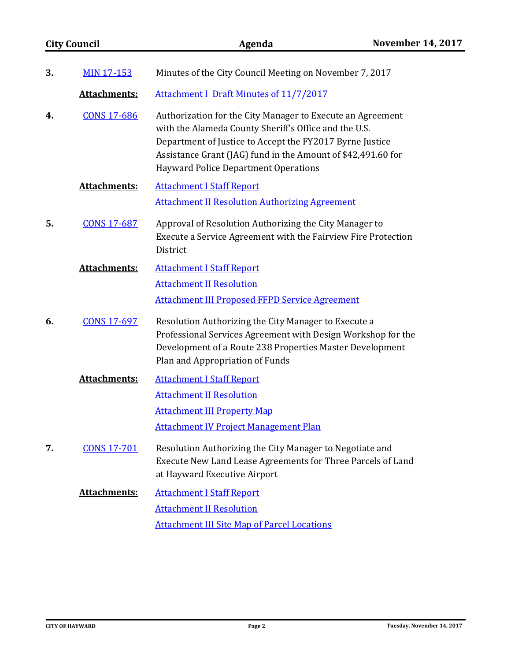|    | <b>City Council</b> | Agenda                                                                                                                                                                                                                                                                                         | <b>November 14, 2017</b> |
|----|---------------------|------------------------------------------------------------------------------------------------------------------------------------------------------------------------------------------------------------------------------------------------------------------------------------------------|--------------------------|
| 3. | <b>MIN 17-153</b>   | Minutes of the City Council Meeting on November 7, 2017                                                                                                                                                                                                                                        |                          |
|    | Attachments:        | <b>Attachment I Draft Minutes of 11/7/2017</b>                                                                                                                                                                                                                                                 |                          |
| 4. | <b>CONS 17-686</b>  | Authorization for the City Manager to Execute an Agreement<br>with the Alameda County Sheriff's Office and the U.S.<br>Department of Justice to Accept the FY2017 Byrne Justice<br>Assistance Grant (JAG) fund in the Amount of \$42,491.60 for<br><b>Hayward Police Department Operations</b> |                          |
|    | Attachments:        | <b>Attachment I Staff Report</b>                                                                                                                                                                                                                                                               |                          |
|    |                     | <b>Attachment II Resolution Authorizing Agreement</b>                                                                                                                                                                                                                                          |                          |
| 5. | <b>CONS 17-687</b>  | Approval of Resolution Authorizing the City Manager to<br>Execute a Service Agreement with the Fairview Fire Protection<br>District                                                                                                                                                            |                          |
|    | <b>Attachments:</b> | <b>Attachment I Staff Report</b>                                                                                                                                                                                                                                                               |                          |
|    |                     | <b>Attachment II Resolution</b>                                                                                                                                                                                                                                                                |                          |
|    |                     | <b>Attachment III Proposed FFPD Service Agreement</b>                                                                                                                                                                                                                                          |                          |
| 6. | <b>CONS 17-697</b>  | Resolution Authorizing the City Manager to Execute a<br>Professional Services Agreement with Design Workshop for the<br>Development of a Route 238 Properties Master Development<br>Plan and Appropriation of Funds                                                                            |                          |
|    | <b>Attachments:</b> | <b>Attachment I Staff Report</b>                                                                                                                                                                                                                                                               |                          |
|    |                     | <b>Attachment II Resolution</b>                                                                                                                                                                                                                                                                |                          |
|    |                     | <b>Attachment III Property Map</b>                                                                                                                                                                                                                                                             |                          |
|    |                     | <b>Attachment IV Project Management Plan</b>                                                                                                                                                                                                                                                   |                          |
| 7. | <b>CONS 17-701</b>  | Resolution Authorizing the City Manager to Negotiate and<br>Execute New Land Lease Agreements for Three Parcels of Land<br>at Hayward Executive Airport                                                                                                                                        |                          |
|    | Attachments:        | <b>Attachment I Staff Report</b>                                                                                                                                                                                                                                                               |                          |
|    |                     | <b>Attachment II Resolution</b>                                                                                                                                                                                                                                                                |                          |
|    |                     | <b>Attachment III Site Map of Parcel Locations</b>                                                                                                                                                                                                                                             |                          |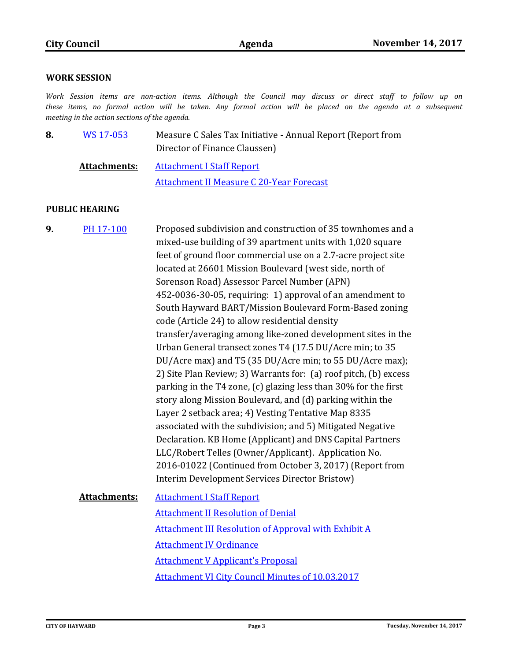## **WORK SESSION**

*Work Session items are non-action items. Although the Council may discuss or direct staff to follow up on these items, no formal action will be taken. Any formal action will be placed on the agenda at a subsequent meeting in the action sections of the agenda.*

| 8. | WS 17-053           | Measure C Sales Tax Initiative - Annual Report (Report from<br>Director of Finance Claussen) |
|----|---------------------|----------------------------------------------------------------------------------------------|
|    | <b>Attachments:</b> | <b>Attachment I Staff Report</b>                                                             |
|    |                     | <b>Attachment II Measure C 20-Year Forecast</b>                                              |

## **PUBLIC HEARING**

| 9. | PH 17-100    | Proposed subdivision and construction of 35 townhomes and a<br>mixed-use building of 39 apartment units with 1,020 square<br>feet of ground floor commercial use on a 2.7-acre project site<br>located at 26601 Mission Boulevard (west side, north of<br>Sorenson Road) Assessor Parcel Number (APN)                                                                                                                                                                                                                                                                                                                                                                                                                                                                                                                                                                                                                     |
|----|--------------|---------------------------------------------------------------------------------------------------------------------------------------------------------------------------------------------------------------------------------------------------------------------------------------------------------------------------------------------------------------------------------------------------------------------------------------------------------------------------------------------------------------------------------------------------------------------------------------------------------------------------------------------------------------------------------------------------------------------------------------------------------------------------------------------------------------------------------------------------------------------------------------------------------------------------|
|    |              | 452-0036-30-05, requiring: 1) approval of an amendment to<br>South Hayward BART/Mission Boulevard Form-Based zoning<br>code (Article 24) to allow residential density<br>transfer/averaging among like-zoned development sites in the<br>Urban General transect zones T4 (17.5 DU/Acre min; to 35<br>DU/Acre max) and T5 (35 DU/Acre min; to 55 DU/Acre max);<br>2) Site Plan Review; 3) Warrants for: (a) roof pitch, (b) excess<br>parking in the T4 zone, (c) glazing less than 30% for the first<br>story along Mission Boulevard, and (d) parking within the<br>Layer 2 setback area; 4) Vesting Tentative Map 8335<br>associated with the subdivision; and 5) Mitigated Negative<br>Declaration. KB Home (Applicant) and DNS Capital Partners<br>LLC/Robert Telles (Owner/Applicant). Application No.<br>2016-01022 (Continued from October 3, 2017) (Report from<br>Interim Development Services Director Bristow) |
|    | Attachments: | <b>Attachment I Staff Report</b><br><b>Attachment II Resolution of Denial</b>                                                                                                                                                                                                                                                                                                                                                                                                                                                                                                                                                                                                                                                                                                                                                                                                                                             |
|    |              | <b>Attachment III Resolution of Approval with Exhibit A</b><br><b>Attachment IV Ordinance</b>                                                                                                                                                                                                                                                                                                                                                                                                                                                                                                                                                                                                                                                                                                                                                                                                                             |
|    |              | <b>Attachment V Applicant's Proposal</b>                                                                                                                                                                                                                                                                                                                                                                                                                                                                                                                                                                                                                                                                                                                                                                                                                                                                                  |
|    |              |                                                                                                                                                                                                                                                                                                                                                                                                                                                                                                                                                                                                                                                                                                                                                                                                                                                                                                                           |
|    |              | <b>Attachment VI City Council Minutes of 10.03.2017</b>                                                                                                                                                                                                                                                                                                                                                                                                                                                                                                                                                                                                                                                                                                                                                                                                                                                                   |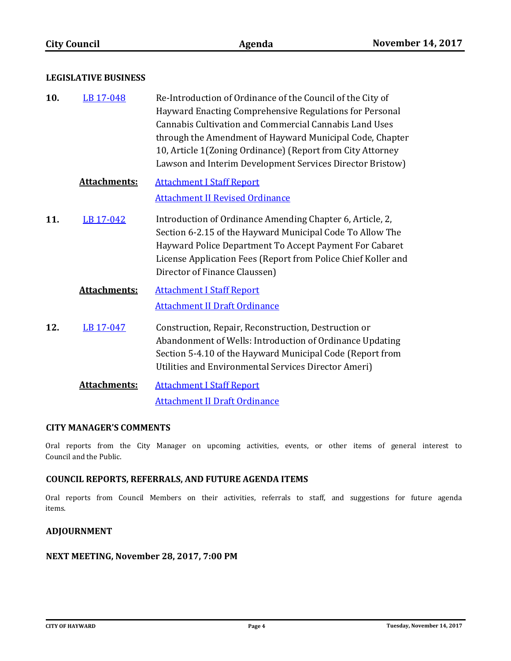### **LEGISLATIVE BUSINESS**

| 10. | LB 17-048 | Re-Introduction of Ordinance of the Council of the City of |
|-----|-----------|------------------------------------------------------------|
|     |           | Hayward Enacting Comprehensive Regulations for Personal    |
|     |           | Cannabis Cultivation and Commercial Cannabis Land Uses     |
|     |           | through the Amendment of Hayward Municipal Code, Chapter   |
|     |           | 10, Article 1(Zoning Ordinance) (Report from City Attorney |
|     |           | Lawson and Interim Development Services Director Bristow)  |

# **Attachments:** [Attachment I Staff Report](http://hayward.legistar.com/gateway.aspx?M=F&ID=24a8a488-a990-4886-9a78-4cd48eaebc19.doc) [Attachment II Revised Ordinance](http://hayward.legistar.com/gateway.aspx?M=F&ID=db97a909-839b-4f5f-80f9-e58a93705837.docx)

Introduction of Ordinance Amending Chapter 6, Article, 2, Section 6-2.15 of the Hayward Municipal Code To Allow The Hayward Police Department To Accept Payment For Cabaret License Application Fees (Report from Police Chief Koller and Director of Finance Claussen) **11.** [LB 17-042](http://hayward.legistar.com/gateway.aspx?m=l&id=/matter.aspx?key=3348)

# **Attachments:** [Attachment I Staff Report](http://hayward.legistar.com/gateway.aspx?M=F&ID=fdabcc5b-5431-4762-8cc9-9304d3cc9afa.doc) [Attachment II Draft Ordinance](http://hayward.legistar.com/gateway.aspx?M=F&ID=77289682-e498-4103-b5e6-69b70959946f.doc)

- Construction, Repair, Reconstruction, Destruction or Abandonment of Wells: Introduction of Ordinance Updating Section 5-4.10 of the Hayward Municipal Code (Report from Utilities and Environmental Services Director Ameri) **12.** [LB 17-047](http://hayward.legistar.com/gateway.aspx?m=l&id=/matter.aspx?key=3410)
	- **Attachments:** [Attachment I Staff Report](http://hayward.legistar.com/gateway.aspx?M=F&ID=1a3898b7-1c33-4cf5-ad73-bdd08cbec31c.docx) [Attachment II Draft Ordinance](http://hayward.legistar.com/gateway.aspx?M=F&ID=219fd381-d085-4125-b067-916df4085289.pdf)

### **CITY MANAGER'S COMMENTS**

Oral reports from the City Manager on upcoming activities, events, or other items of general interest to Council and the Public.

## **COUNCIL REPORTS, REFERRALS, AND FUTURE AGENDA ITEMS**

Oral reports from Council Members on their activities, referrals to staff, and suggestions for future agenda items.

## **ADJOURNMENT**

### **NEXT MEETING, November 28, 2017, 7:00 PM**